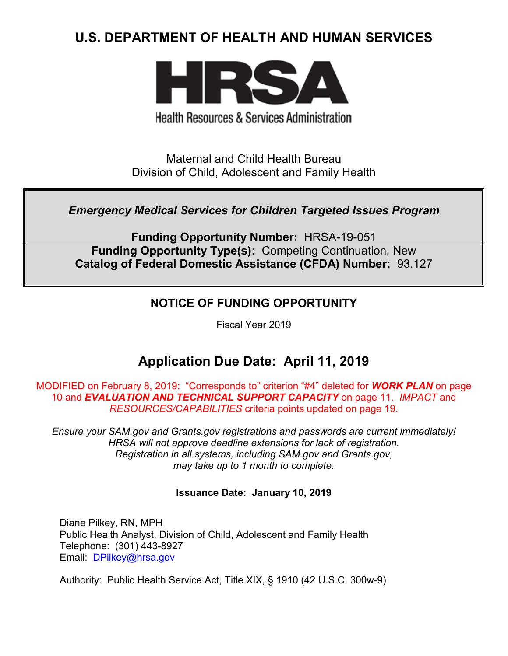# **U.S. DEPARTMENT OF HEALTH AND HUMAN SERVICES**



**Health Resources & Services Administration** 

Maternal and Child Health Bureau Division of Child, Adolescent and Family Health

## *Emergency Medical Services for Children Targeted Issues Program*

**Funding Opportunity Number:** HRSA-19-051 **Funding Opportunity Type(s):** Competing Continuation, New **Catalog of Federal Domestic Assistance (CFDA) Number:** 93.127

## **NOTICE OF FUNDING OPPORTUNITY**

Fiscal Year 2019

# **Application Due Date: April 11, 2019**

MODIFIED on February 8, 2019: "Corresponds to" criterion "#4" deleted for *WORK PLAN* on page 10 and *EVALUATION AND TECHNICAL SUPPORT CAPACITY* on page 11. *IMPACT* and *RESOURCES/CAPABILITIES* criteria points updated on page 19.

*Ensure your SAM.gov and Grants.gov registrations and passwords are current immediately! HRSA will not approve deadline extensions for lack of registration. Registration in all systems, including SAM.gov and Grants.gov, may take up to 1 month to complete.*

## **Issuance Date:****January 10, 2019**

Diane Pilkey, RN, MPH Public Health Analyst, Division of Child, Adolescent and Family Health Telephone: (301) 443-8927 Email: [DPilkey@hrsa.gov](mailto:DPilkey@hrsa.gov)

Authority: Public Health Service Act, Title XIX, § 1910 (42 U.S.C. 300w-9)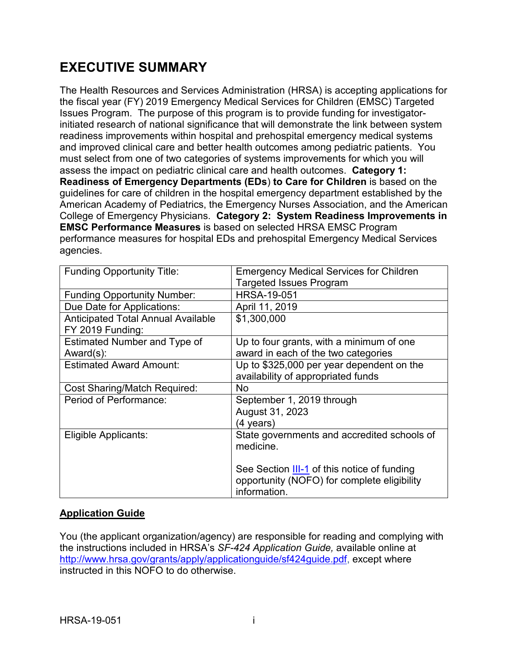# **EXECUTIVE SUMMARY**

The Health Resources and Services Administration (HRSA) is accepting applications for the fiscal year (FY) 2019 Emergency Medical Services for Children (EMSC) Targeted Issues Program. The purpose of this program is to provide funding for investigatorinitiated research of national significance that will demonstrate the link between system readiness improvements within hospital and prehospital emergency medical systems and improved clinical care and better health outcomes among pediatric patients. You must select from one of two categories of systems improvements for which you will assess the impact on pediatric clinical care and health outcomes. **Category 1: Readiness of Emergency Departments (EDs**) **to Care for Children** is based on the guidelines for care of children in the hospital emergency department established by the American Academy of Pediatrics, the Emergency Nurses Association, and the American College of Emergency Physicians. **Category 2: System Readiness Improvements in EMSC Performance Measures** is based on selected HRSA EMSC Program performance measures for hospital EDs and prehospital Emergency Medical Services agencies.

| <b>Funding Opportunity Title:</b>         | <b>Emergency Medical Services for Children</b>                                                                    |  |  |
|-------------------------------------------|-------------------------------------------------------------------------------------------------------------------|--|--|
|                                           | <b>Targeted Issues Program</b>                                                                                    |  |  |
| <b>Funding Opportunity Number:</b>        | <b>HRSA-19-051</b>                                                                                                |  |  |
| Due Date for Applications:                | April 11, 2019                                                                                                    |  |  |
| <b>Anticipated Total Annual Available</b> | \$1,300,000                                                                                                       |  |  |
| FY 2019 Funding:                          |                                                                                                                   |  |  |
| Estimated Number and Type of              | Up to four grants, with a minimum of one                                                                          |  |  |
| Award(s):                                 | award in each of the two categories                                                                               |  |  |
| <b>Estimated Award Amount:</b>            | Up to \$325,000 per year dependent on the                                                                         |  |  |
|                                           | availability of appropriated funds                                                                                |  |  |
| Cost Sharing/Match Required:              | No.                                                                                                               |  |  |
| Period of Performance:                    | September 1, 2019 through                                                                                         |  |  |
|                                           | August 31, 2023                                                                                                   |  |  |
|                                           | (4 years)                                                                                                         |  |  |
| Eligible Applicants:                      | State governments and accredited schools of<br>medicine.                                                          |  |  |
|                                           | See Section <b>III-1</b> of this notice of funding<br>opportunity (NOFO) for complete eligibility<br>information. |  |  |

#### **Application Guide**

You (the applicant organization/agency) are responsible for reading and complying with the instructions included in HRSA's *SF-424 Application Guide,* available online at [http://www.hrsa.gov/grants/apply/applicationguide/sf424guide.pdf,](http://www.hrsa.gov/grants/apply/applicationguide/sf424guide.pdf) except where instructed in this NOFO to do otherwise.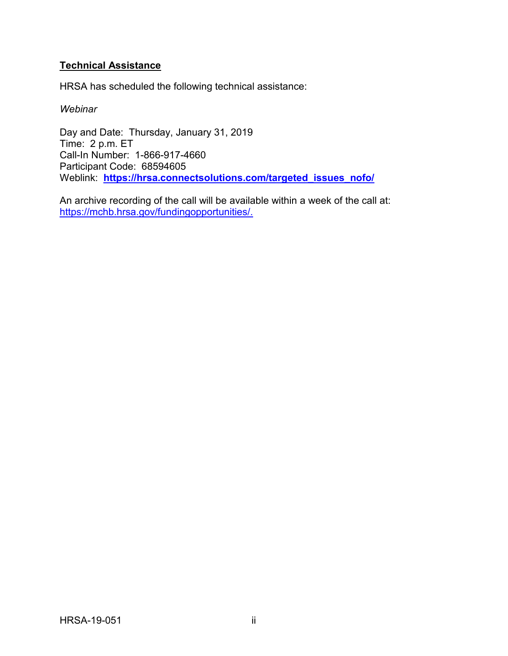## **Technical Assistance**

HRSA has scheduled the following technical assistance:

#### *Webinar*

Day and Date: Thursday, January 31, 2019 Time: 2 p.m. ET Call-In Number: 1-866-917-4660 Participant Code: 68594605 Weblink: **[https://hrsa.connectsolutions.com/targeted\\_issues\\_nofo/](https://hrsa.connectsolutions.com/targeted_issues_nofo/)**

An archive recording of the call will be available within a week of the call at: [https://mchb.hrsa.gov/fundingopportunities/.](https://mchb.hrsa.gov/fundingopportunities/)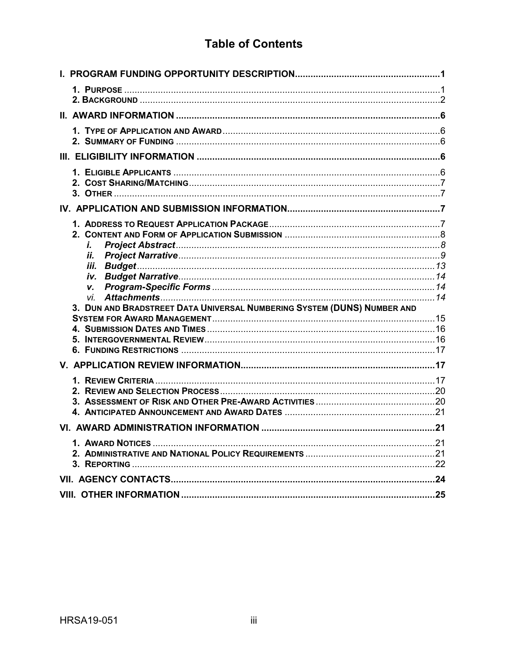# **Table of Contents**

| i.                                                                             |  |
|--------------------------------------------------------------------------------|--|
| İİ.                                                                            |  |
| iii.                                                                           |  |
| v.                                                                             |  |
| vi.<br>3. DUN AND BRADSTREET DATA UNIVERSAL NUMBERING SYSTEM (DUNS) NUMBER AND |  |
|                                                                                |  |
|                                                                                |  |
|                                                                                |  |
|                                                                                |  |
|                                                                                |  |
|                                                                                |  |
|                                                                                |  |
| 4.                                                                             |  |
|                                                                                |  |
|                                                                                |  |
|                                                                                |  |
|                                                                                |  |
|                                                                                |  |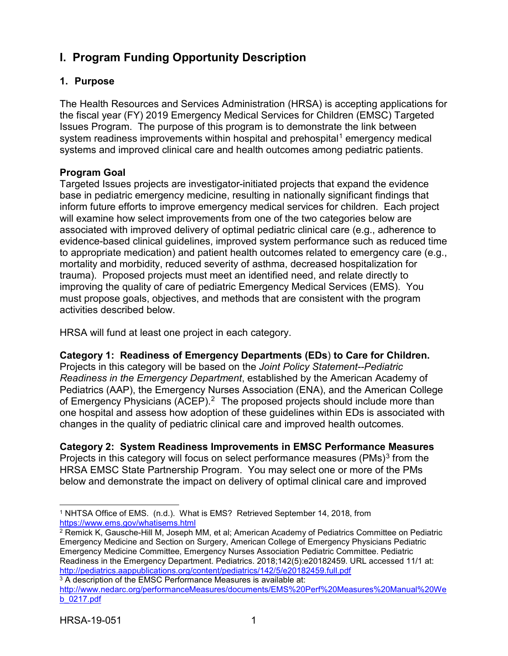# <span id="page-4-0"></span>**I. Program Funding Opportunity Description**

## <span id="page-4-5"></span><span id="page-4-1"></span>**1. Purpose**

The Health Resources and Services Administration (HRSA) is accepting applications for the fiscal year (FY) 2019 Emergency Medical Services for Children (EMSC) Targeted Issues Program. The purpose of this program is to demonstrate the link between system readiness improvements within hospital and prehospital<sup>[1](#page-4-2)</sup> emergency medical systems and improved clinical care and health outcomes among pediatric patients.

## **Program Goal**

Targeted Issues projects are investigator-initiated projects that expand the evidence base in pediatric emergency medicine, resulting in nationally significant findings that inform future efforts to improve emergency medical services for children. Each project will examine how select improvements from one of the two categories below are associated with improved delivery of optimal pediatric clinical care (e.g., adherence to evidence-based clinical guidelines, improved system performance such as reduced time to appropriate medication) and patient health outcomes related to emergency care (e.g., mortality and morbidity, reduced severity of asthma, decreased hospitalization for trauma). Proposed projects must meet an identified need, and relate directly to improving the quality of care of pediatric Emergency Medical Services (EMS). You must propose goals, objectives, and methods that are consistent with the program activities described below.

HRSA will fund at least one project in each category.

**Category 1: Readiness of Emergency Departments (EDs**) **to Care for Children.** Projects in this category will be based on the *Joint Policy Statement--Pediatric Readiness in the Emergency Department*, established by the American Academy of Pediatrics (AAP), the Emergency Nurses Association (ENA), and the American College of Emergency Physicians (ACEP).<sup>2</sup> The proposed projects should include more than one hospital and assess how adoption of these guidelines within EDs is associated with changes in the quality of pediatric clinical care and improved health outcomes.

## **Category 2: System Readiness Improvements in EMSC Performance Measures**

Projects in this category will focus on select performance measures (PMs)<sup>[3](#page-4-4)</sup> from the HRSA EMSC State Partnership Program. You may select one or more of the PMs below and demonstrate the impact on delivery of optimal clinical care and improved

<span id="page-4-2"></span> $\overline{a}$ <sup>1</sup> NHTSA Office of EMS. (n.d.). What is EMS? Retrieved September 14, 2018, from <https://www.ems.gov/whatisems.html>

<span id="page-4-3"></span><sup>2</sup> Remick K, Gausche-Hill M, Joseph MM, et al; American Academy of Pediatrics Committee on Pediatric Emergency Medicine and Section on Surgery, American College of Emergency Physicians Pediatric Emergency Medicine Committee, Emergency Nurses Association Pediatric Committee. Pediatric Readiness in the Emergency Department. Pediatrics. 2018;142(5):e20182459. URL accessed 11/1 at: <http://pediatrics.aappublications.org/content/pediatrics/142/5/e20182459.full.pdf>

<span id="page-4-4"></span><sup>&</sup>lt;sup>3</sup> A description of the EMSC Performance Measures is available at: [http://www.nedarc.org/performanceMeasures/documents/EMS%20Perf%20Measures%20Manual%20We](http://www.nedarc.org/performanceMeasures/documents/EMS%20Perf%20Measures%20Manual%20Web_0217.pdf) [b\\_0217.pdf](http://www.nedarc.org/performanceMeasures/documents/EMS%20Perf%20Measures%20Manual%20Web_0217.pdf)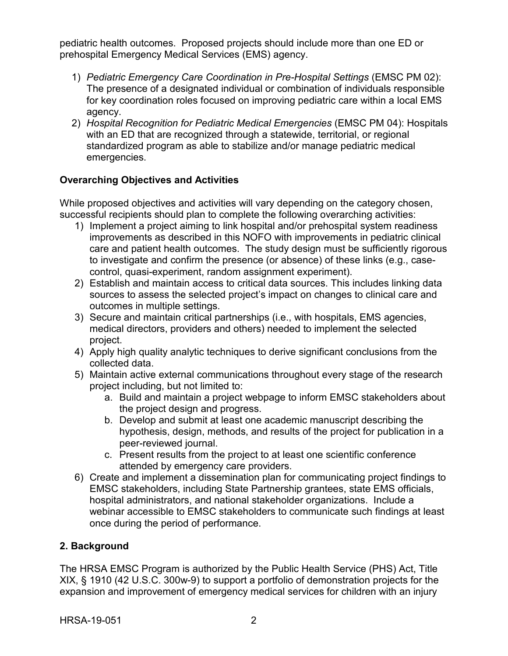pediatric health outcomes. Proposed projects should include more than one ED or prehospital Emergency Medical Services (EMS) agency.

- 1) *Pediatric Emergency Care Coordination in Pre-Hospital Settings* (EMSC PM 02): The presence of a designated individual or combination of individuals responsible for key coordination roles focused on improving pediatric care within a local EMS agency.
- 2) *Hospital Recognition for Pediatric Medical Emergencies* (EMSC PM 04): Hospitals with an ED that are recognized through a statewide, territorial, or regional standardized program as able to stabilize and/or manage pediatric medical emergencies.

## **Overarching Objectives and Activities**

While proposed objectives and activities will vary depending on the category chosen, successful recipients should plan to complete the following overarching activities:

- 1) Implement a project aiming to link hospital and/or prehospital system readiness improvements as described in this NOFO with improvements in pediatric clinical care and patient health outcomes. The study design must be sufficiently rigorous to investigate and confirm the presence (or absence) of these links (e.g., casecontrol, quasi-experiment, random assignment experiment).
- 2) Establish and maintain access to critical data sources. This includes linking data sources to assess the selected project's impact on changes to clinical care and outcomes in multiple settings.
- 3) Secure and maintain critical partnerships (i.e., with hospitals, EMS agencies, medical directors, providers and others) needed to implement the selected project.
- 4) Apply high quality analytic techniques to derive significant conclusions from the collected data.
- 5) Maintain active external communications throughout every stage of the research project including, but not limited to:
	- a. Build and maintain a project webpage to inform EMSC stakeholders about the project design and progress.
	- b. Develop and submit at least one academic manuscript describing the hypothesis, design, methods, and results of the project for publication in a peer-reviewed journal.
	- c. Present results from the project to at least one scientific conference attended by emergency care providers.
- 6) Create and implement a dissemination plan for communicating project findings to EMSC stakeholders, including State Partnership grantees, state EMS officials, hospital administrators, and national stakeholder organizations. Include a webinar accessible to EMSC stakeholders to communicate such findings at least once during the period of performance.

## <span id="page-5-0"></span>**2. Background**

The HRSA EMSC Program is authorized by the Public Health Service (PHS) Act, Title XIX, § 1910 (42 U.S.C. 300w-9) to support a portfolio of demonstration projects for the expansion and improvement of emergency medical services for children with an injury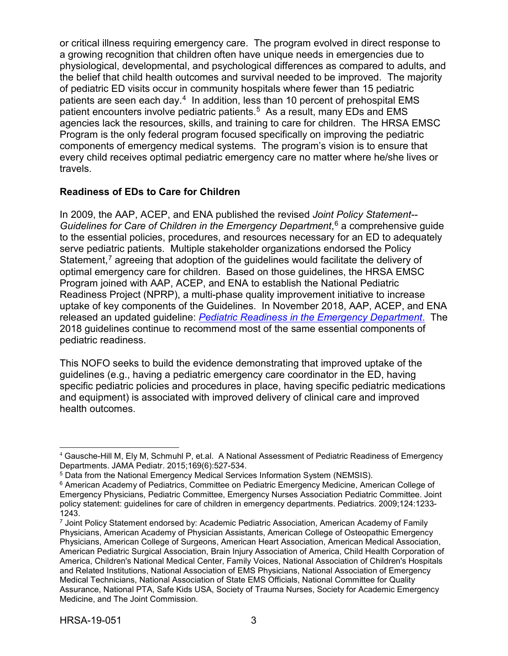<span id="page-6-4"></span>or critical illness requiring emergency care. The program evolved in direct response to a growing recognition that children often have unique needs in emergencies due to physiological, developmental, and psychological differences as compared to adults, and the belief that child health outcomes and survival needed to be improved. The majority of pediatric ED visits occur in community hospitals where fewer than 15 pediatric patients are seen each day.<sup>[4](#page-6-0)</sup> In addition, less than 10 percent of prehospital EMS patient encounters involve pediatric patients.<sup>5</sup> As a result, many EDs and EMS agencies lack the resources, skills, and training to care for children. The HRSA EMSC Program is the only federal program focused specifically on improving the pediatric components of emergency medical systems. The program's vision is to ensure that every child receives optimal pediatric emergency care no matter where he/she lives or travels.

## **Readiness of EDs to Care for Children**

In 2009, the AAP, ACEP, and ENA published the revised *Joint Policy Statement-- Guidelines for Care of Children in the Emergency Department*, [6](#page-6-2) a comprehensive guide to the essential policies, procedures, and resources necessary for an ED to adequately serve pediatric patients. Multiple stakeholder organizations endorsed the Policy Statement,<sup>[7](#page-6-3)</sup> agreeing that adoption of the guidelines would facilitate the delivery of optimal emergency care for children. Based on those guidelines, the HRSA EMSC Program joined with AAP, ACEP, and ENA to establish the National Pediatric Readiness Project (NPRP), a multi-phase quality improvement initiative to increase uptake of key components of the Guidelines. In November 2018, AAP, ACEP, and ENA released an updated guideline: *[Pediatric Readiness in the Emergency Department](http://pediatrics.aappublications.org/content/pediatrics/142/5/e20182459.full.pdf)*. The 2018 guidelines continue to recommend most of the same essential components of pediatric readiness.

This NOFO seeks to build the evidence demonstrating that improved uptake of the guidelines (e.g., having a pediatric emergency care coordinator in the ED, having specific pediatric policies and procedures in place, having specific pediatric medications and equipment) is associated with improved delivery of clinical care and improved health outcomes.

<span id="page-6-0"></span> <sup>4</sup> Gausche-Hill M, Ely M, Schmuhl P, et.al. A National Assessment of Pediatric Readiness of Emergency Departments. JAMA Pediatr. 2015;169(6):527-534.

<span id="page-6-1"></span><sup>5</sup> Data from the National Emergency Medical Services Information System (NEMSIS).

<span id="page-6-2"></span><sup>6</sup> American Academy of Pediatrics, Committee on Pediatric Emergency Medicine, American College of Emergency Physicians, Pediatric Committee, Emergency Nurses Association Pediatric Committee. Joint policy statement: guidelines for care of children in emergency departments. Pediatrics. 2009;124:1233- 1243.

<span id="page-6-3"></span><sup>7</sup> Joint Policy Statement endorsed by: Academic Pediatric Association, American Academy of Family Physicians, American Academy of Physician Assistants, American College of Osteopathic Emergency Physicians, American College of Surgeons, American Heart Association, American Medical Association, American Pediatric Surgical Association, Brain Injury Association of America, Child Health Corporation of America, Children's National Medical Center, Family Voices, National Association of Children's Hospitals and Related Institutions, National Association of EMS Physicians, National Association of Emergency Medical Technicians, National Association of State EMS Officials, National Committee for Quality Assurance, National PTA, Safe Kids USA, Society of Trauma Nurses, Society for Academic Emergency Medicine, and The Joint Commission.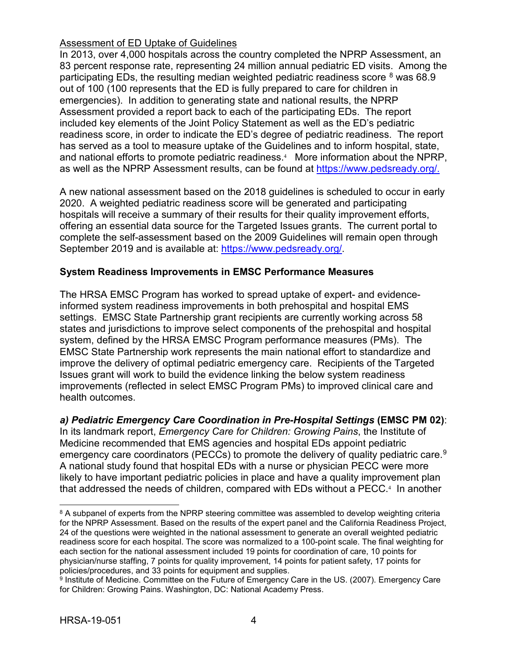### Assessment of ED Uptake of Guidelines

In 2013, over 4,000 hospitals across the country completed the NPRP Assessment, an 83 percent response rate, representing 24 million annual pediatric ED visits. Among the participating EDs, the resulting median weighted pediatric readiness score  $8$  was 68.9 out of 100 (100 represents that the ED is fully prepared to care for children in emergencies). In addition to generating state and national results, the NPRP Assessment provided a report back to each of the participating EDs. The report included key elements of the Joint Policy Statement as well as the ED's pediatric readiness score, in order to indicate the ED's degree of pediatric readiness. The report has served as a tool to measure uptake of the Guidelines and to inform hospital, state, andnational efforts to promote pediatric readiness.<sup>4</sup> More information about the NPRP, as well as the NPRP Assessment results, can be found at [https://www.pedsready.org/.](https://www.pedsready.org/)

A new national assessment based on the 2018 guidelines is scheduled to occur in early 2020. A weighted pediatric readiness score will be generated and participating hospitals will receive a summary of their results for their quality improvement efforts, offering an essential data source for the Targeted Issues grants. The current portal to complete the self-assessment based on the 2009 Guidelines will remain open through September 2019 and is available at: [https://www.pedsready.org/.](https://www.pedsready.org/)

### **System Readiness Improvements in EMSC Performance Measures**

The HRSA EMSC Program has worked to spread uptake of expert- and evidenceinformed system readiness improvements in both prehospital and hospital EMS settings. EMSC State Partnership grant recipients are currently working across 58 states and jurisdictions to improve select components of the prehospital and hospital system, defined by the HRSA EMSC Program performance measures (PMs). The EMSC State Partnership work represents the main national effort to standardize and improve the delivery of optimal pediatric emergency care. Recipients of the Targeted Issues grant will work to build the evidence linking the below system readiness improvements (reflected in select EMSC Program PMs) to improved clinical care and health outcomes.

## *a) Pediatric Emergency Care Coordination in Pre-Hospital Settings* **(EMSC PM 02)**:

In its landmark report, *Emergency Care for Children: Growing Pains*, the Institute of Medicine recommended that EMS agencies and hospital EDs appoint pediatric emergency care coordinators (PECCs) to promote the delivery of quality pediatric care.<sup>9</sup> A national study found that hospital EDs with a nurse or physician PECC were more likely to have important pediatric policies in place and have a quality improvement plan that addressed the needs of children, compared with EDs without a PECC[.](#page-6-4) <sup>4</sup> In another

<span id="page-7-0"></span> $\overline{a}$ <sup>8</sup> A subpanel of experts from the NPRP steering committee was assembled to develop weighting criteria for the NPRP Assessment. Based on the results of the expert panel and the California Readiness Project, 24 of the questions were weighted in the national assessment to generate an overall weighted pediatric readiness score for each hospital. The score was normalized to a 100-point scale. The final weighting for each section for the national assessment included 19 points for coordination of care, 10 points for physician/nurse staffing, 7 points for quality improvement, 14 points for patient safety, 17 points for policies/procedures, and 33 points for equipment and supplies.

<span id="page-7-1"></span><sup>9</sup> Institute of Medicine. Committee on the Future of Emergency Care in the US. (2007). Emergency Care for Children: Growing Pains. Washington, DC: National Academy Press.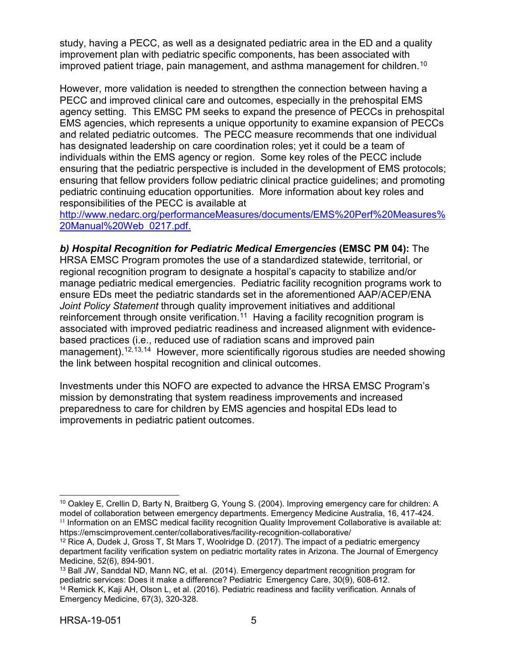study, having a PECC, as well as a designated pediatric area in the ED and a quality improvement plan with pediatric specific components, has been associated with improved patient triage, pain management, and asthma management for children.<sup>[10](#page-8-1)</sup>

However, more validation is needed to strengthen the connection between having a PECC and improved clinical care and outcomes, especially in the prehospital EMS agency setting. This EMSC PM seeks to expand the presence of PECCs in prehospital EMS agencies, which represents a unique opportunity to examine expansion of PECCs and related pediatric outcomes. The PECC measure recommends that one individual has designated leadership on care coordination roles; yet it could be a team of individuals within the EMS agency or region. Some key roles of the PECC include ensuring that the pediatric perspective is included in the development of EMS protocols; ensuring that fellow providers follow pediatric clinical practice guidelines; and promoting pediatric continuing education opportunities. More information about key roles and responsibilities of the PECC is available at

[http://www.nedarc.org/performanceMeasures/documents/EMS%20Perf%20Measures%](http://www.nedarc.org/performanceMeasures/documents/EMS%20Perf%20Measures%20Manual%20Web_0217.pdf) [20Manual%20Web\\_0217.pdf.](http://www.nedarc.org/performanceMeasures/documents/EMS%20Perf%20Measures%20Manual%20Web_0217.pdf)

*b) Hospital Recognition for Pediatric Medical Emergencies* **(EMSC PM 04):** The HRSA EMSC Program promotes the use of a standardized statewide, territorial, or regional recognition program to designate a hospital's capacity to stabilize and/or manage pediatric medical emergencies. Pediatric facility recognition programs work to ensure EDs meet the pediatric standards set in the aforementioned AAP/ACEP/ENA *Joint Policy Statement* through quality improvement initiatives and additional reinforcement through onsite verification.<sup>[11](#page-8-2)</sup> Having a facility recognition program is associated with improved pediatric readiness and increased alignment with evidencebased practices (i.e., reduced use of radiation scans and improved pain management).<sup>[12,](#page-8-3)[13](#page-8-4),[14](#page-8-5)</sup> However, more scientifically rigorous studies are needed showing the link between hospital recognition and clinical outcomes.

Investments under this NOFO are expected to advance the HRSA EMSC Program's mission by demonstrating that system readiness improvements and increased preparedness to care for children by EMS agencies and hospital EDs lead to improvements in pediatric patient outcomes.

<span id="page-8-0"></span> $\overline{a}$ 

<span id="page-8-1"></span><sup>10</sup> Oakley E, Crellin D, Barty N, Braitberg G, Young S. (2004). Improving emergency care for children: A model of collaboration between emergency departments. Emergency Medicine Australia, 16, 417-424.  $11$  Information on an EMSC medical facility recognition Quality Improvement Collaborative is available at: https://emscimprovement.center/collaboratives/facility-recognition-collaborative/

<span id="page-8-3"></span><span id="page-8-2"></span><sup>12</sup> Rice A, Dudek J, Gross T, St Mars T, Woolridge D. (2017). The impact of a pediatric emergency department facility verification system on pediatric mortality rates in Arizona. The Journal of Emergency Medicine, 52(6), 894-901.

<span id="page-8-4"></span><sup>13</sup> Ball JW, Sanddal ND, Mann NC, et al. (2014). Emergency department recognition program for pediatric services: Does it make a difference? Pediatric Emergency Care, 30(9), 608-612.

<span id="page-8-5"></span><sup>&</sup>lt;sup>14</sup> Remick K, Kaji AH, Olson L, et al. (2016). Pediatric readiness and facility verification. Annals of Emergency Medicine, 67(3), 320-328.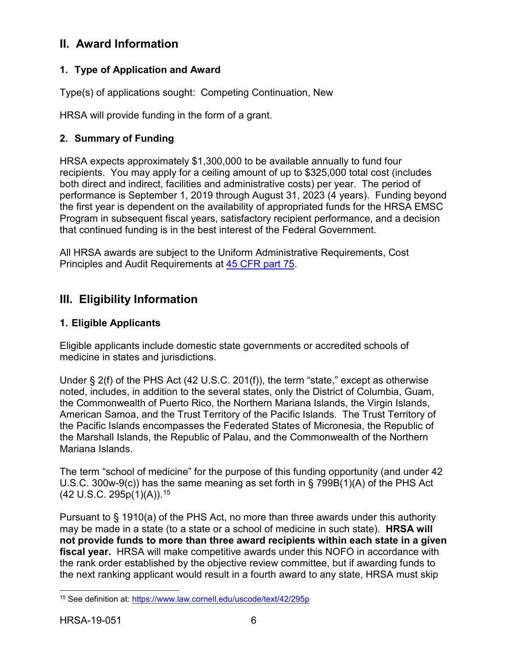## **II. Award Information**

## <span id="page-9-1"></span>**1. Type of Application and Award**

Type(s) of applications sought: Competing Continuation, New

HRSA will provide funding in the form of a grant.

## <span id="page-9-2"></span>**2. Summary of Funding**

HRSA expects approximately \$1,300,000 to be available annually to fund four recipients. You may apply for a ceiling amount of up to \$325,000 total cost (includes both direct and indirect, facilities and administrative costs) per year. The period of performance is September 1, 2019 through August 31, 2023 (4 years). Funding beyond the first year is dependent on the availability of appropriated funds for the HRSA EMSC Program in subsequent fiscal years, satisfactory recipient performance, and a decision that continued funding is in the best interest of the Federal Government.

All HRSA awards are subject to the Uniform Administrative Requirements, Cost Principles and Audit Requirements at [45 CFR part 75.](http://www.ecfr.gov/cgi-bin/retrieveECFR?gp=1&SID=4d52364ec83fab994c665943dadf9cf7&ty=HTML&h=L&r=PART&n=pt45.1.75)

## <span id="page-9-3"></span>**III. Eligibility Information**

## <span id="page-9-0"></span>**1. Eligible Applicants**

Eligible applicants include domestic state governments or accredited schools of medicine in states and jurisdictions.

Under § 2(f) of the PHS Act (42 U.S.C. 201(f)), the term "state," except as otherwise noted, includes, in addition to the several states, only the District of Columbia, Guam, the Commonwealth of Puerto Rico, the Northern Mariana Islands, the Virgin Islands, American Samoa, and the Trust Territory of the Pacific Islands. The Trust Territory of the Pacific Islands encompasses the Federated States of Micronesia, the Republic of the Marshall Islands, the Republic of Palau, and the Commonwealth of the Northern Mariana Islands.

The term "school of medicine" for the purpose of this funding opportunity (and under 42 U.S.C. 300w-9(c)) has the same meaning as set forth in § 799B(1)(A) of the PHS Act (42 U.S.C. 295p(1)(A)).[15](#page-9-4)

Pursuant to § 1910(a) of the PHS Act, no more than three awards under this authority may be made in a state (to a state or a school of medicine in such state). **HRSA will not provide funds to more than three award recipients within each state in a given fiscal year.** HRSA will make competitive awards under this NOFO in accordance with the rank order established by the objective review committee, but if awarding funds to the next ranking applicant would result in a fourth award to any state, HRSA must skip

<span id="page-9-4"></span> $\overline{a}$ <sup>15</sup> See definition at: <u>https://www.law.cornell.edu/uscode/text/42/295p</u>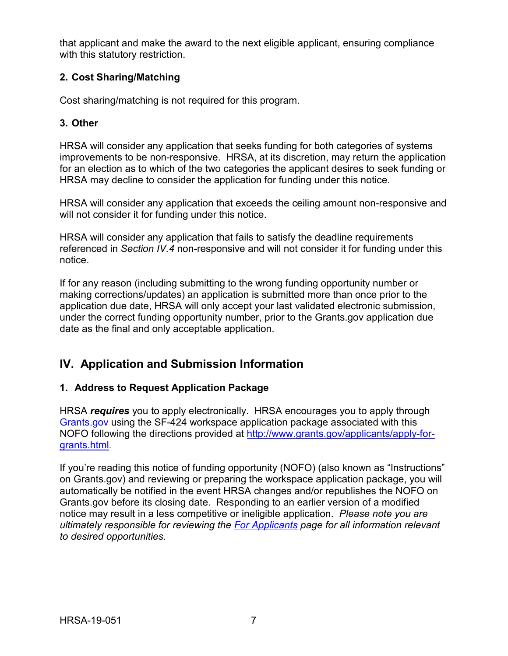that applicant and make the award to the next eligible applicant, ensuring compliance with this statutory restriction.

## <span id="page-10-0"></span>**2. Cost Sharing/Matching**

Cost sharing/matching is not required for this program.

### <span id="page-10-1"></span>**3. Other**

HRSA will consider any application that seeks funding for both categories of systems improvements to be non-responsive. HRSA, at its discretion, may return the application for an election as to which of the two categories the applicant desires to seek funding or HRSA may decline to consider the application for funding under this notice.

HRSA will consider any application that exceeds the ceiling amount non-responsive and will not consider it for funding under this notice.

HRSA will consider any application that fails to satisfy the deadline requirements referenced in *Section IV.4* non-responsive and will not consider it for funding under this notice.

If for any reason (including submitting to the wrong funding opportunity number or making corrections/updates) an application is submitted more than once prior to the application due date, HRSA will only accept your last validated electronic submission, under the correct funding opportunity number, prior to the Grants.gov application due date as the final and only acceptable application.

## <span id="page-10-2"></span>**IV. Application and Submission Information**

## <span id="page-10-3"></span>**1. Address to Request Application Package**

HRSA *requires* you to apply electronically. HRSA encourages you to apply through [Grants.gov](https://www.grants.gov/) using the SF-424 workspace application package associated with this NOFO following the directions provided at [http://www.grants.gov/applicants/apply-for](http://www.grants.gov/applicants/apply-for-grants.html)[grants.html.](http://www.grants.gov/applicants/apply-for-grants.html)

If you're reading this notice of funding opportunity (NOFO) (also known as "Instructions" on Grants.gov) and reviewing or preparing the workspace application package, you will automatically be notified in the event HRSA changes and/or republishes the NOFO on Grants.gov before its closing date. Responding to an earlier version of a modified notice may result in a less competitive or ineligible application. *Please note you are ultimately responsible for reviewing the [For Applicants](https://www.grants.gov/web/grants/applicants.html) page for all information relevant to desired opportunities.*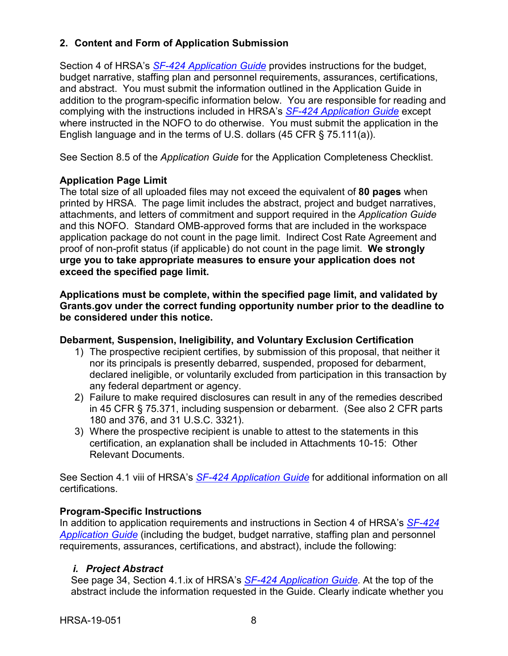## <span id="page-11-0"></span>**2. Content and Form of Application Submission**

Section 4 of HRSA's *SF-424 [Application Guide](http://www.hrsa.gov/grants/apply/applicationguide/sf424guide.pdf)* provides instructions for the budget, budget narrative, staffing plan and personnel requirements, assurances, certifications, and abstract. You must submit the information outlined in the Application Guide in addition to the program-specific information below. You are responsible for reading and complying with the instructions included in HRSA's *SF-424 [Application Guide](http://www.hrsa.gov/grants/apply/applicationguide/sf424guide.pdf)* except where instructed in the NOFO to do otherwise. You must submit the application in the English language and in the terms of U.S. dollars (45 CFR § 75.111(a)).

See Section 8.5 of the *Application Guide* for the Application Completeness Checklist.

## **Application Page Limit**

The total size of all uploaded files may not exceed the equivalent of **80 pages** when printed by HRSA. The page limit includes the abstract, project and budget narratives, attachments, and letters of commitment and support required in the *Application Guide* and this NOFO. Standard OMB-approved forms that are included in the workspace application package do not count in the page limit. Indirect Cost Rate Agreement and proof of non-profit status (if applicable) do not count in the page limit. **We strongly urge you to take appropriate measures to ensure your application does not exceed the specified page limit.**

**Applications must be complete, within the specified page limit, and validated by Grants.gov under the correct funding opportunity number prior to the deadline to be considered under this notice.**

## **Debarment, Suspension, Ineligibility, and Voluntary Exclusion Certification**

- 1) The prospective recipient certifies, by submission of this proposal, that neither it nor its principals is presently debarred, suspended, proposed for debarment, declared ineligible, or voluntarily excluded from participation in this transaction by any federal department or agency.
- 2) Failure to make required disclosures can result in any of the remedies described in 45 CFR § 75.371, including suspension or debarment. (See also 2 CFR parts 180 and 376, and 31 U.S.C. 3321).
- 3) Where the prospective recipient is unable to attest to the statements in this certification, an explanation shall be included in Attachments 10-15: Other Relevant Documents.

See Section 4.1 viii of HRSA's *SF-424 [Application Guide](http://www.hrsa.gov/grants/apply/applicationguide/sf424guide.pdf)* for additional information on all certifications.

## **Program-Specific Instructions**

In addition to application requirements and instructions in Section 4 of HRSA's *[SF-424](http://www.hrsa.gov/grants/apply/applicationguide/sf424guide.pdf) [Application Guide](http://www.hrsa.gov/grants/apply/applicationguide/sf424guide.pdf)* (including the budget, budget narrative, staffing plan and personnel requirements, assurances, certifications, and abstract), include the following:

## <span id="page-11-1"></span>*i. Project Abstract*

See page 34, Section 4.1.ix of HRSA's *SF-424 [Application Guide.](http://www.hrsa.gov/grants/apply/applicationguide/sf424guide.pdf)* At the top of the abstract include the information requested in the Guide. Clearly indicate whether you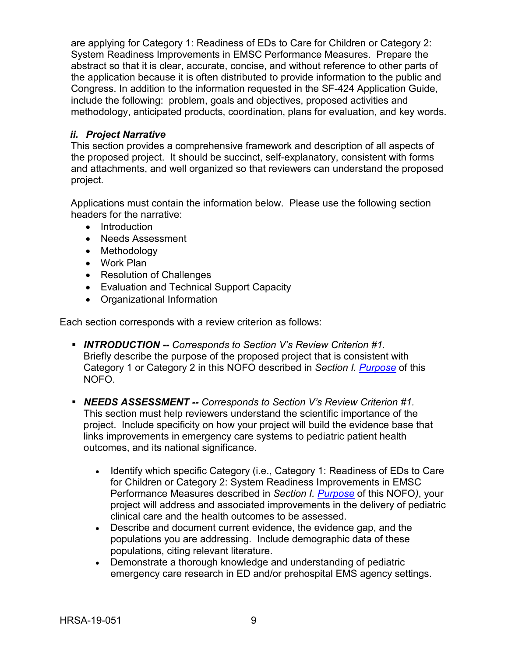are applying for Category 1: Readiness of EDs to Care for Children or Category 2: System Readiness Improvements in EMSC Performance Measures. Prepare the abstract so that it is clear, accurate, concise, and without reference to other parts of the application because it is often distributed to provide information to the public and Congress. In addition to the information requested in the SF-424 Application Guide, include the following: problem, goals and objectives, proposed activities and methodology, anticipated products, coordination, plans for evaluation, and key words.

## <span id="page-12-0"></span>*ii. Project Narrative*

This section provides a comprehensive framework and description of all aspects of the proposed project. It should be succinct, self-explanatory, consistent with forms and attachments, and well organized so that reviewers can understand the proposed project.

Applications must contain the information below. Please use the following section headers for the narrative:

- Introduction
- Needs Assessment
- Methodology
- Work Plan
- Resolution of Challenges
- Evaluation and Technical Support Capacity
- Organizational Information

Each section corresponds with a review criterion as follows:

- *INTRODUCTION -- Corresponds to Section V's Review Criterion #1.* Briefly describe the purpose of the proposed project that is consistent with Category 1 or Category 2 in this NOFO described in *Section I. [Purpose](#page-4-5)* of this NOFO.
- *NEEDS ASSESSMENT -- Corresponds to Section V's Review Criterion #1.* This section must help reviewers understand the scientific importance of the project. Include specificity on how your project will build the evidence base that links improvements in emergency care systems to pediatric patient health outcomes, and its national significance.
	- Identify which specific Category (i.e., Category 1: Readiness of EDs to Care for Children or Category 2: System Readiness Improvements in EMSC Performance Measures described in *Section I. [Purpose](#page-4-5)* of this NOFO*)*, your project will address and associated improvements in the delivery of pediatric clinical care and the health outcomes to be assessed.
	- Describe and document current evidence, the evidence gap, and the populations you are addressing. Include demographic data of these populations, citing relevant literature.
	- Demonstrate a thorough knowledge and understanding of pediatric emergency care research in ED and/or prehospital EMS agency settings.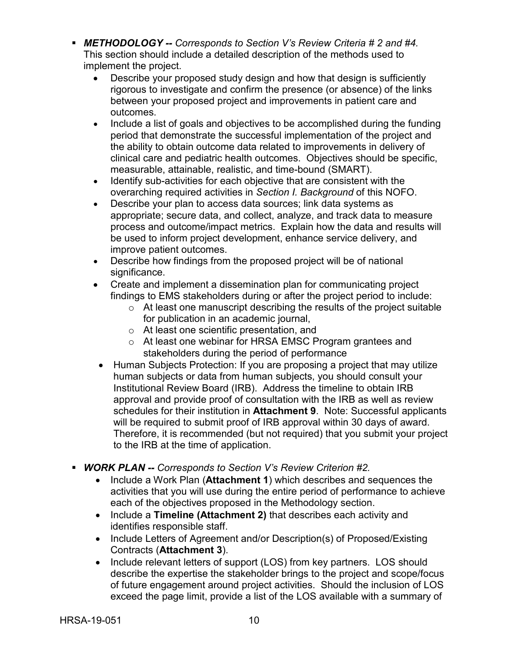- *METHODOLOGY -- Corresponds to Section V's Review Criteria # 2 and #4.* This section should include a detailed description of the methods used to implement the project.
	- Describe your proposed study design and how that design is sufficiently rigorous to investigate and confirm the presence (or absence) of the links between your proposed project and improvements in patient care and outcomes.
	- Include a list of goals and objectives to be accomplished during the funding period that demonstrate the successful implementation of the project and the ability to obtain outcome data related to improvements in delivery of clinical care and pediatric health outcomes. Objectives should be specific, measurable, attainable, realistic, and time-bound (SMART).
	- Identify sub-activities for each objective that are consistent with the overarching required activities in *Section I. Background* of this NOFO.
	- Describe your plan to access data sources; link data systems as appropriate; secure data, and collect, analyze, and track data to measure process and outcome/impact metrics. Explain how the data and results will be used to inform project development, enhance service delivery, and improve patient outcomes.
	- Describe how findings from the proposed project will be of national significance.
	- Create and implement a dissemination plan for communicating project findings to EMS stakeholders during or after the project period to include:
		- $\circ$  At least one manuscript describing the results of the project suitable for publication in an academic journal,
		- o At least one scientific presentation, and
		- o At least one webinar for HRSA EMSC Program grantees and stakeholders during the period of performance
	- Human Subjects Protection: If you are proposing a project that may utilize human subjects or data from human subjects, you should consult your Institutional Review Board (IRB). Address the timeline to obtain IRB approval and provide proof of consultation with the IRB as well as review schedules for their institution in **Attachment 9**. Note: Successful applicants will be required to submit proof of IRB approval within 30 days of award. Therefore, it is recommended (but not required) that you submit your project to the IRB at the time of application.
- *WORK PLAN -- Corresponds to Section V's Review Criterion #2.*
	- Include a Work Plan (**Attachment 1**) which describes and sequences the activities that you will use during the entire period of performance to achieve each of the objectives proposed in the Methodology section.
	- Include a **Timeline (Attachment 2)** that describes each activity and identifies responsible staff.
	- Include Letters of Agreement and/or Description(s) of Proposed/Existing Contracts (**Attachment 3**).
	- Include relevant letters of support (LOS) from key partners. LOS should describe the expertise the stakeholder brings to the project and scope/focus of future engagement around project activities. Should the inclusion of LOS exceed the page limit, provide a list of the LOS available with a summary of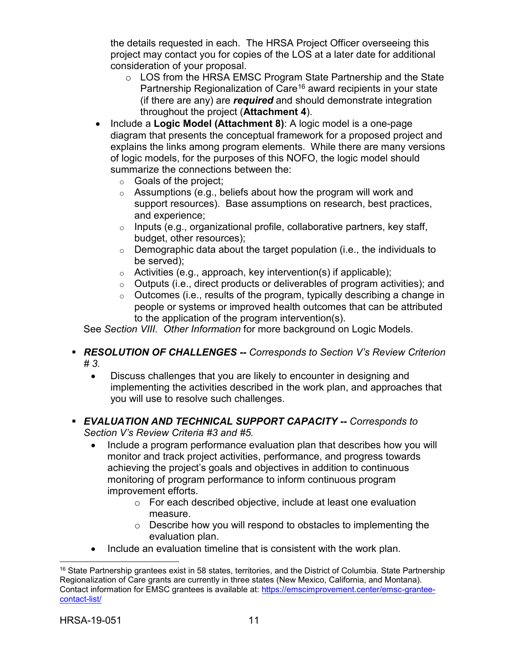the details requested in each. The HRSA Project Officer overseeing this project may contact you for copies of the LOS at a later date for additional consideration of your proposal.

- o LOS from the HRSA EMSC Program State Partnership and the State Partnership Regionalization of Care<sup>[16](#page-14-0)</sup> award recipients in your state (if there are any) are *required* and should demonstrate integration throughout the project (**Attachment 4**).
- Include a **Logic Model (Attachment 8)**: A logic model is a one-page diagram that presents the conceptual framework for a proposed project and explains the links among program elements. While there are many versions of logic models, for the purposes of this NOFO, the logic model should summarize the connections between the:
	- $\circ$  Goals of the project;
	- $\circ$  Assumptions (e.g., beliefs about how the program will work and support resources). Base assumptions on research, best practices, and experience;
	- o Inputs (e.g., organizational profile, collaborative partners, key staff, budget, other resources);
	- $\circ$  Demographic data about the target population (i.e., the individuals to be served);
	- $\circ$  Activities (e.g., approach, key intervention(s) if applicable);
	- $\circ$  Outputs (i.e., direct products or deliverables of program activities); and
	- $\circ$  Outcomes (i.e., results of the program, typically describing a change in people or systems or improved health outcomes that can be attributed to the application of the program intervention(s).

See *Section VIII. Other Information* for more background on Logic Models.

- *RESOLUTION OF CHALLENGES -- Corresponds to Section V's Review Criterion # 3.*
	- Discuss challenges that you are likely to encounter in designing and implementing the activities described in the work plan, and approaches that you will use to resolve such challenges.
- *EVALUATION AND TECHNICAL SUPPORT CAPACITY -- Corresponds to Section V's Review Criteria #3 and #5.*
	- Include a program performance evaluation plan that describes how you will monitor and track project activities, performance, and progress towards achieving the project's goals and objectives in addition to continuous monitoring of program performance to inform continuous program improvement efforts.
		- o For each described objective, include at least one evaluation measure.
		- o Describe how you will respond to obstacles to implementing the evaluation plan.
	- Include an evaluation timeline that is consistent with the work plan.

<span id="page-14-0"></span> $\overline{a}$ <sup>16</sup> State Partnership grantees exist in 58 states, territories, and the District of Columbia. State Partnership Regionalization of Care grants are currently in three states (New Mexico, California, and Montana). Contact information for EMSC grantees is available at: [https://emscimprovement.center/emsc-grantee](https://emscimprovement.center/emsc-grantee-contact-list/)[contact-list/](https://emscimprovement.center/emsc-grantee-contact-list/)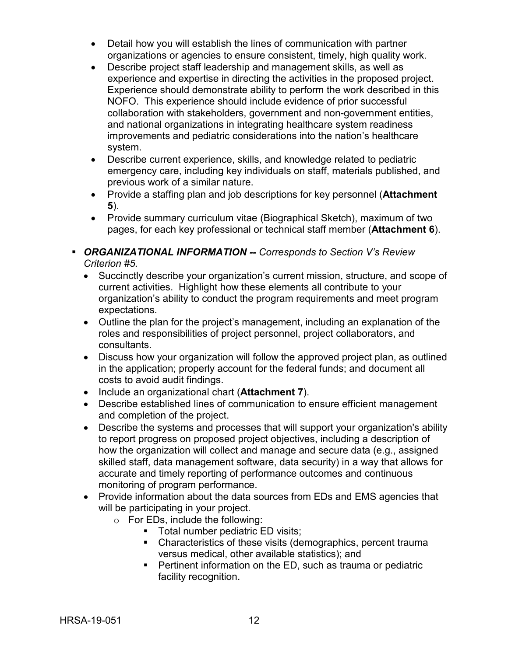- Detail how you will establish the lines of communication with partner organizations or agencies to ensure consistent, timely, high quality work.
- Describe project staff leadership and management skills, as well as experience and expertise in directing the activities in the proposed project. Experience should demonstrate ability to perform the work described in this NOFO. This experience should include evidence of prior successful collaboration with stakeholders, government and non-government entities, and national organizations in integrating healthcare system readiness improvements and pediatric considerations into the nation's healthcare system.
- Describe current experience, skills, and knowledge related to pediatric emergency care, including key individuals on staff, materials published, and previous work of a similar nature.
- Provide a staffing plan and job descriptions for key personnel (**Attachment 5**).
- Provide summary curriculum vitae (Biographical Sketch), maximum of two pages, for each key professional or technical staff member (**Attachment 6**).
- *ORGANIZATIONAL INFORMATION -- Corresponds to Section V's Review Criterion #5.*
	- Succinctly describe your organization's current mission, structure, and scope of current activities. Highlight how these elements all contribute to your organization's ability to conduct the program requirements and meet program expectations.
	- Outline the plan for the project's management, including an explanation of the roles and responsibilities of project personnel, project collaborators, and consultants.
	- Discuss how your organization will follow the approved project plan, as outlined in the application; properly account for the federal funds; and document all costs to avoid audit findings.
	- Include an organizational chart (**Attachment 7**).
	- Describe established lines of communication to ensure efficient management and completion of the project.
	- Describe the systems and processes that will support your organization's ability to report progress on proposed project objectives, including a description of how the organization will collect and manage and secure data (e.g., assigned skilled staff, data management software, data security) in a way that allows for accurate and timely reporting of performance outcomes and continuous monitoring of program performance.
	- Provide information about the data sources from EDs and EMS agencies that will be participating in your project.
		- o For EDs, include the following:
			- **Total number pediatric ED visits;**
			- Characteristics of these visits (demographics, percent trauma versus medical, other available statistics); and
			- Pertinent information on the ED, such as trauma or pediatric facility recognition.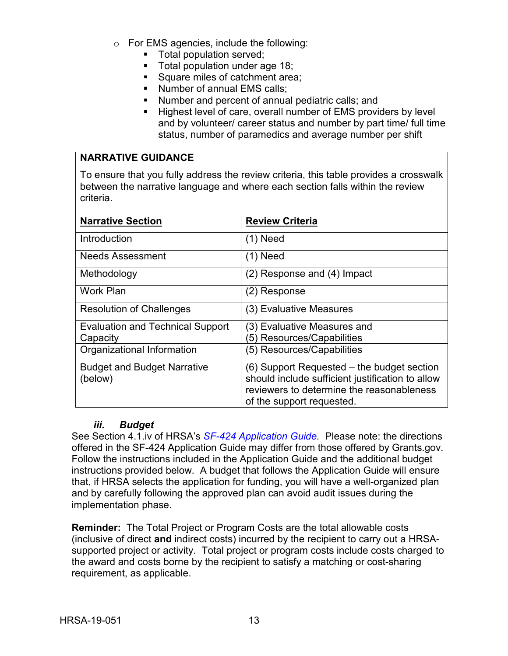- o For EMS agencies, include the following:
	- **Total population served;**
	- **Total population under age 18;**
	- Square miles of catchment area;
	- Number of annual EMS calls:
	- Number and percent of annual pediatric calls; and
	- Highest level of care, overall number of EMS providers by level and by volunteer/ career status and number by part time/ full time status, number of paramedics and average number per shift

#### **NARRATIVE GUIDANCE**

To ensure that you fully address the review criteria, this table provides a crosswalk between the narrative language and where each section falls within the review criteria.

| <b>Narrative Section</b>                | <b>Review Criteria</b>                           |  |
|-----------------------------------------|--------------------------------------------------|--|
| Introduction                            | $(1)$ Need                                       |  |
| <b>Needs Assessment</b>                 | (1) Need                                         |  |
| Methodology                             | (2) Response and (4) Impact                      |  |
| <b>Work Plan</b>                        | (2) Response                                     |  |
| <b>Resolution of Challenges</b>         | (3) Evaluative Measures                          |  |
| <b>Evaluation and Technical Support</b> | (3) Evaluative Measures and                      |  |
| Capacity                                | (5) Resources/Capabilities                       |  |
| Organizational Information              | (5) Resources/Capabilities                       |  |
| <b>Budget and Budget Narrative</b>      | (6) Support Requested – the budget section       |  |
| (below)                                 | should include sufficient justification to allow |  |
|                                         | reviewers to determine the reasonableness        |  |
|                                         | of the support requested.                        |  |

#### *iii. Budget*

<span id="page-16-0"></span>See Section 4.1.iv of HRSA's *SF-424 [Application Guide.](http://www.hrsa.gov/grants/apply/applicationguide/sf424guide.pdf)* Please note: the directions offered in the SF-424 Application Guide may differ from those offered by Grants.gov. Follow the instructions included in the Application Guide and the additional budget instructions provided below. A budget that follows the Application Guide will ensure that, if HRSA selects the application for funding, you will have a well-organized plan and by carefully following the approved plan can avoid audit issues during the implementation phase.

**Reminder:** The Total Project or Program Costs are the total allowable costs (inclusive of direct **and** indirect costs) incurred by the recipient to carry out a HRSAsupported project or activity. Total project or program costs include costs charged to the award and costs borne by the recipient to satisfy a matching or cost-sharing requirement, as applicable.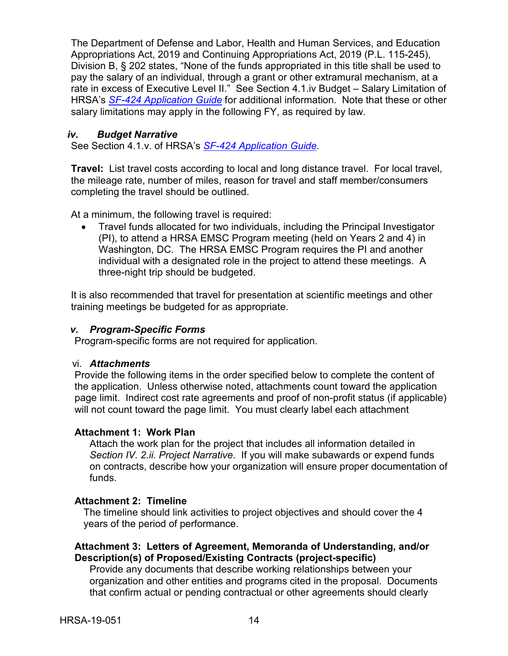The Department of Defense and Labor, Health and Human Services, and Education Appropriations Act, 2019 and Continuing Appropriations Act, 2019 (P.L. 115-245), Division B, § 202 states, "None of the funds appropriated in this title shall be used to pay the salary of an individual, through a grant or other extramural mechanism, at a rate in excess of Executive Level II." See Section 4.1.iv Budget – Salary Limitation of HRSA's *SF-424 [Application Guide](http://www.hrsa.gov/grants/apply/applicationguide/sf424guide.pdf)* for additional information. Note that these or other salary limitations may apply in the following FY, as required by law.

#### <span id="page-17-0"></span>*iv. Budget Narrative*

See Section 4.1.v. of HRSA's *SF-424 [Application Guide.](http://www.hrsa.gov/grants/apply/applicationguide/sf424guide.pdf)*

**Travel:** List travel costs according to local and long distance travel. For local travel, the mileage rate, number of miles, reason for travel and staff member/consumers completing the travel should be outlined.

At a minimum, the following travel is required:

• Travel funds allocated for two individuals, including the Principal Investigator (PI), to attend a HRSA EMSC Program meeting (held on Years 2 and 4) in Washington, DC. The HRSA EMSC Program requires the PI and another individual with a designated role in the project to attend these meetings. A three-night trip should be budgeted.

It is also recommended that travel for presentation at scientific meetings and other training meetings be budgeted for as appropriate.

#### <span id="page-17-1"></span>*v. Program-Specific Forms*

Program-specific forms are not required for application.

#### <span id="page-17-2"></span>vi. *Attachments*

Provide the following items in the order specified below to complete the content of the application. Unless otherwise noted, attachments count toward the application page limit. Indirect cost rate agreements and proof of non-profit status (if applicable) will not count toward the page limit. You must clearly label each attachment

## **Attachment 1: Work Plan**

Attach the work plan for the project that includes all information detailed in *Section IV. 2.ii. Project Narrative*. If you will make subawards or expend funds on contracts, describe how your organization will ensure proper documentation of funds.

## **Attachment 2: Timeline**

The timeline should link activities to project objectives and should cover the 4 years of the period of performance.

## **Attachment 3: Letters of Agreement, Memoranda of Understanding, and/or Description(s) of Proposed/Existing Contracts (project-specific)**

Provide any documents that describe working relationships between your organization and other entities and programs cited in the proposal. Documents that confirm actual or pending contractual or other agreements should clearly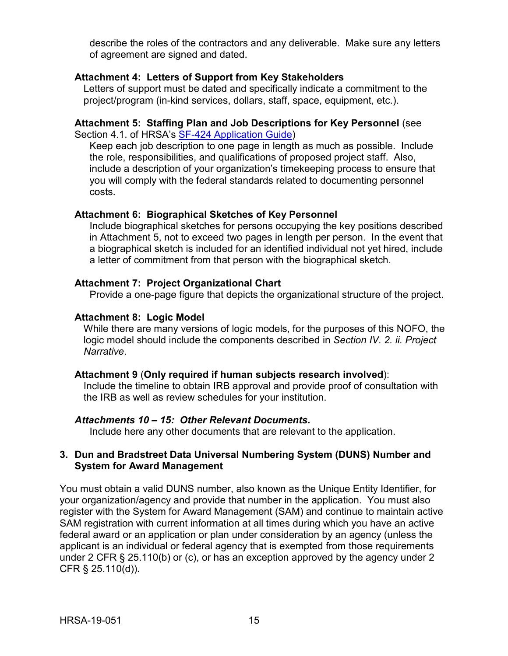describe the roles of the contractors and any deliverable. Make sure any letters of agreement are signed and dated.

#### **Attachment 4: Letters of Support from Key Stakeholders**

Letters of support must be dated and specifically indicate a commitment to the project/program (in-kind services, dollars, staff, space, equipment, etc.).

#### **Attachment 5: Staffing Plan and Job Descriptions for Key Personnel** (see Section 4.1. of HRSA's [SF-424 Application Guide\)](http://www.hrsa.gov/grants/apply/applicationguide/sf424guide.pdf)

Keep each job description to one page in length as much as possible. Include the role, responsibilities, and qualifications of proposed project staff. Also, include a description of your organization's timekeeping process to ensure that you will comply with the federal standards related to documenting personnel costs.

#### **Attachment 6: Biographical Sketches of Key Personnel**

Include biographical sketches for persons occupying the key positions described in Attachment 5, not to exceed two pages in length per person. In the event that a biographical sketch is included for an identified individual not yet hired, include a letter of commitment from that person with the biographical sketch.

#### **Attachment 7: Project Organizational Chart**

Provide a one-page figure that depicts the organizational structure of the project.

#### **Attachment 8: Logic Model**

While there are many versions of logic models, for the purposes of this NOFO, the logic model should include the components described in *Section IV. 2. ii. Project Narrative*.

#### **Attachment 9** (**Only required if human subjects research involved**):

Include the timeline to obtain IRB approval and provide proof of consultation with the IRB as well as review schedules for your institution.

#### *Attachments 10 – 15: Other Relevant Documents.*

Include here any other documents that are relevant to the application.

#### <span id="page-18-0"></span>**3. Dun and Bradstreet Data Universal Numbering System (DUNS) Number and System for Award Management**

You must obtain a valid DUNS number, also known as the Unique Entity Identifier, for your organization/agency and provide that number in the application. You must also register with the System for Award Management (SAM) and continue to maintain active SAM registration with current information at all times during which you have an active federal award or an application or plan under consideration by an agency (unless the applicant is an individual or federal agency that is exempted from those requirements under 2 CFR § 25.110(b) or (c), or has an exception approved by the agency under 2 CFR § 25.110(d))**.**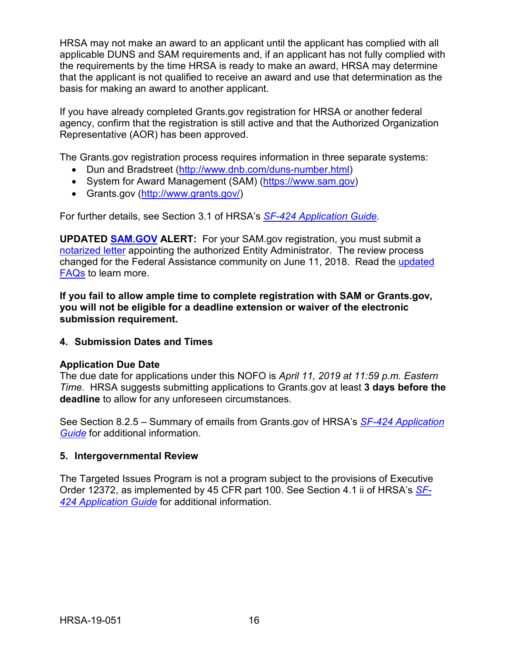HRSA may not make an award to an applicant until the applicant has complied with all applicable DUNS and SAM requirements and, if an applicant has not fully complied with the requirements by the time HRSA is ready to make an award, HRSA may determine that the applicant is not qualified to receive an award and use that determination as the basis for making an award to another applicant.

If you have already completed Grants.gov registration for HRSA or another federal agency, confirm that the registration is still active and that the Authorized Organization Representative (AOR) has been approved.

The Grants.gov registration process requires information in three separate systems:

- Dun and Bradstreet [\(http://www.dnb.com/duns-number.html\)](http://www.dnb.com/duns-number.html)
- System for Award Management (SAM) [\(https://www.sam.gov\)](https://www.sam.gov/)
- Grants.gov [\(http://www.grants.gov/\)](http://www.grants.gov/)

For further details, see Section 3.1 of HRSA's *SF-424 [Application Guide.](http://www.hrsa.gov/grants/apply/applicationguide/sf424guide.pdf)*

**UPDATED [SAM.GOV](http://sam.gov/) ALERT:** For your SAM.gov registration, you must submit a [notarized letter](https://www.fsd.gov/fsd-gov/answer.do?sysparm_kbid=d2e67885db0d5f00b3257d321f96194b&sysparm_search=kb0013183) appointing the authorized Entity Administrator. The review process changed for the Federal Assistance community on June 11, 2018. Read the [updated](https://www.gsa.gov/about-us/organization/federal-acquisition-service/office-of-systems-management/integrated-award-environment-iae/sam-update)  [FAQs](https://www.gsa.gov/about-us/organization/federal-acquisition-service/office-of-systems-management/integrated-award-environment-iae/sam-update) to learn more.

**If you fail to allow ample time to complete registration with SAM or Grants.gov, you will not be eligible for a deadline extension or waiver of the electronic submission requirement.**

<span id="page-19-0"></span>**4. Submission Dates and Times**

#### **Application Due Date**

The due date for applications under this NOFO is *April 11, 2019 at 11:59 p.m. Eastern Time*. HRSA suggests submitting applications to Grants.gov at least **3 days before the deadline** to allow for any unforeseen circumstances.

See Section 8.2.5 – Summary of emails from Grants.gov of HRSA's *[SF-424 Application](http://www.hrsa.gov/grants/apply/applicationguide/sf424guide.pdf)  [Guide](http://www.hrsa.gov/grants/apply/applicationguide/sf424guide.pdf)* for additional information.

#### <span id="page-19-1"></span>**5. Intergovernmental Review**

The Targeted Issues Program is not a program subject to the provisions of Executive Order 12372, as implemented by 45 CFR part 100. See Section 4.1 ii of HRSA's *[SF-](http://www.hrsa.gov/grants/apply/applicationguide/sf424guide.pdf)424 [Application Guide](http://www.hrsa.gov/grants/apply/applicationguide/sf424guide.pdf)* for additional information.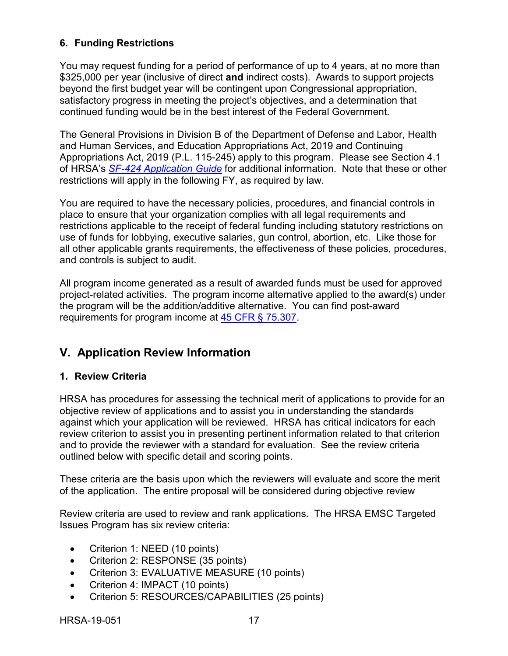## <span id="page-20-0"></span>**6. Funding Restrictions**

You may request funding for a period of performance of up to 4 years, at no more than \$325,000 per year (inclusive of direct **and** indirect costs). Awards to support projects beyond the first budget year will be contingent upon Congressional appropriation, satisfactory progress in meeting the project's objectives, and a determination that continued funding would be in the best interest of the Federal Government.

The General Provisions in Division B of the Department of Defense and Labor, Health and Human Services, and Education Appropriations Act, 2019 and Continuing Appropriations Act, 2019 (P.L. 115-245) apply to this program. Please see Section 4.1 of HRSA's *SF-424 [Application Guide](http://www.hrsa.gov/grants/apply/applicationguide/sf424guide.pdf)* for additional information. Note that these or other restrictions will apply in the following FY, as required by law.

You are required to have the necessary policies, procedures, and financial controls in place to ensure that your organization complies with all legal requirements and restrictions applicable to the receipt of federal funding including statutory restrictions on use of funds for lobbying, executive salaries, gun control, abortion, etc. Like those for all other applicable grants requirements, the effectiveness of these policies, procedures, and controls is subject to audit.

All program income generated as a result of awarded funds must be used for approved project-related activities. The program income alternative applied to the award(s) under the program will be the addition/additive alternative. You can find post-award requirements for program income at [45 CFR § 75.307.](https://www.ecfr.gov/cgi-bin/retrieveECFR?gp=1&SID=4d52364ec83fab994c665943dadf9cf7&ty=HTML&h=L&r=PART&n=pt45.1.75)

## <span id="page-20-1"></span>**V. Application Review Information**

## <span id="page-20-2"></span>**1. Review Criteria**

HRSA has procedures for assessing the technical merit of applications to provide for an objective review of applications and to assist you in understanding the standards against which your application will be reviewed. HRSA has critical indicators for each review criterion to assist you in presenting pertinent information related to that criterion and to provide the reviewer with a standard for evaluation. See the review criteria outlined below with specific detail and scoring points.

These criteria are the basis upon which the reviewers will evaluate and score the merit of the application. The entire proposal will be considered during objective review

Review criteria are used to review and rank applications. The HRSA EMSC Targeted Issues Program has six review criteria:

- Criterion 1: NEED (10 points)
- Criterion 2: RESPONSE (35 points)
- Criterion 3: EVALUATIVE MEASURE (10 points)
- Criterion 4: IMPACT (10 points)
- Criterion 5: RESOURCES/CAPABILITIES (25 points)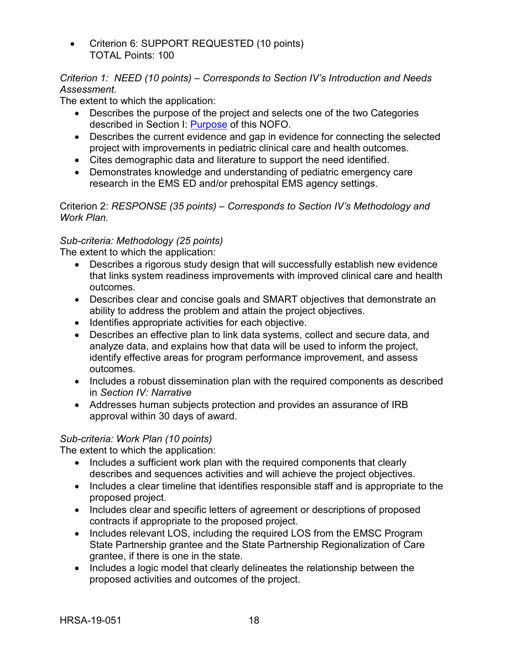• Criterion 6: SUPPORT REQUESTED (10 points) TOTAL Points: 100

## *Criterion 1: NEED (10 points) – Corresponds to Section IV's Introduction and Needs Assessment.*

The extent to which the application:

- Describes the purpose of the project and selects one of the two Categories described in Section I: [Purpose](#page-4-5) of this NOFO.
- Describes the current evidence and gap in evidence for connecting the selected project with improvements in pediatric clinical care and health outcomes.
- Cites demographic data and literature to support the need identified.
- Demonstrates knowledge and understanding of pediatric emergency care research in the EMS ED and/or prehospital EMS agency settings.

Criterion 2: *RESPONSE (35 points) – Corresponds to Section IV's Methodology and Work Plan.*

## *Sub-criteria: Methodology (25 points)*

The extent to which the application:

- Describes a rigorous study design that will successfully establish new evidence that links system readiness improvements with improved clinical care and health outcomes.
- Describes clear and concise goals and SMART objectives that demonstrate an ability to address the problem and attain the project objectives.
- Identifies appropriate activities for each objective.
- Describes an effective plan to link data systems, collect and secure data, and analyze data, and explains how that data will be used to inform the project, identify effective areas for program performance improvement, and assess outcomes.
- Includes a robust dissemination plan with the required components as described in *Section IV: Narrative*
- Addresses human subjects protection and provides an assurance of IRB approval within 30 days of award.

## *Sub-criteria: Work Plan (10 points)*

The extent to which the application:

- Includes a sufficient work plan with the required components that clearly describes and sequences activities and will achieve the project objectives.
- Includes a clear timeline that identifies responsible staff and is appropriate to the proposed project.
- Includes clear and specific letters of agreement or descriptions of proposed contracts if appropriate to the proposed project.
- Includes relevant LOS, including the required LOS from the EMSC Program State Partnership grantee and the State Partnership Regionalization of Care grantee, if there is one in the state.
- Includes a logic model that clearly delineates the relationship between the proposed activities and outcomes of the project.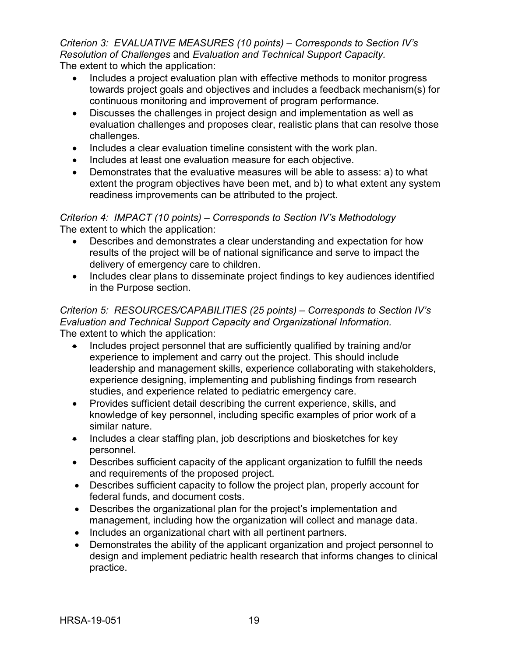*Criterion 3: EVALUATIVE MEASURES (10 points) – Corresponds to Section IV's Resolution of Challenges* and *Evaluation and Technical Support Capacity.* The extent to which the application:

- Includes a project evaluation plan with effective methods to monitor progress towards project goals and objectives and includes a feedback mechanism(s) for continuous monitoring and improvement of program performance.
- Discusses the challenges in project design and implementation as well as evaluation challenges and proposes clear, realistic plans that can resolve those challenges.
- Includes a clear evaluation timeline consistent with the work plan.
- Includes at least one evaluation measure for each objective.
- Demonstrates that the evaluative measures will be able to assess: a) to what extent the program objectives have been met, and b) to what extent any system readiness improvements can be attributed to the project.

## *Criterion 4: IMPACT (10 points) – Corresponds to Section IV's Methodology* The extent to which the application:

- Describes and demonstrates a clear understanding and expectation for how results of the project will be of national significance and serve to impact the delivery of emergency care to children.
- Includes clear plans to disseminate project findings to key audiences identified in the Purpose section.

### *Criterion 5: RESOURCES/CAPABILITIES (25 points) – Corresponds to Section IV's Evaluation and Technical Support Capacity and Organizational Information.* The extent to which the application:

- Includes project personnel that are sufficiently qualified by training and/or experience to implement and carry out the project. This should include leadership and management skills, experience collaborating with stakeholders, experience designing, implementing and publishing findings from research studies, and experience related to pediatric emergency care.
- Provides sufficient detail describing the current experience, skills, and knowledge of key personnel, including specific examples of prior work of a similar nature.
- Includes a clear staffing plan, job descriptions and biosketches for key personnel.
- Describes sufficient capacity of the applicant organization to fulfill the needs and requirements of the proposed project.
- Describes sufficient capacity to follow the project plan, properly account for federal funds, and document costs.
- Describes the organizational plan for the project's implementation and management, including how the organization will collect and manage data.
- Includes an organizational chart with all pertinent partners.
- Demonstrates the ability of the applicant organization and project personnel to design and implement pediatric health research that informs changes to clinical practice.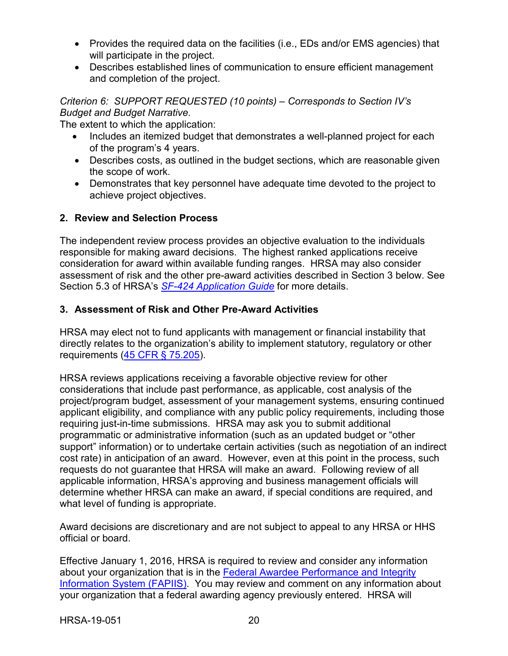- Provides the required data on the facilities (i.e., EDs and/or EMS agencies) that will participate in the project.
- Describes established lines of communication to ensure efficient management and completion of the project.

*Criterion 6: SUPPORT REQUESTED (10 points) – Corresponds to Section IV's Budget and Budget Narrative.*

The extent to which the application:

- Includes an itemized budget that demonstrates a well-planned project for each of the program's 4 years.
- Describes costs, as outlined in the budget sections, which are reasonable given the scope of work.
- Demonstrates that key personnel have adequate time devoted to the project to achieve project objectives.

## <span id="page-23-0"></span>**2. Review and Selection Process**

The independent review process provides an objective evaluation to the individuals responsible for making award decisions. The highest ranked applications receive consideration for award within available funding ranges. HRSA may also consider assessment of risk and the other pre-award activities described in Section 3 below. See Section 5.3 of HRSA's *SF-424 [Application Guide](http://www.hrsa.gov/grants/apply/applicationguide/sf424guide.pdf)* for more details.

## <span id="page-23-1"></span>**3. Assessment of Risk and Other Pre-Award Activities**

HRSA may elect not to fund applicants with management or financial instability that directly relates to the organization's ability to implement statutory, regulatory or other requirements [\(45 CFR § 75.205\)](https://www.ecfr.gov/cgi-bin/retrieveECFR?gp=1&SID=4d52364ec83fab994c665943dadf9cf7&ty=HTML&h=L&r=PART&n=pt45.1.75).

HRSA reviews applications receiving a favorable objective review for other considerations that include past performance, as applicable, cost analysis of the project/program budget, assessment of your management systems, ensuring continued applicant eligibility, and compliance with any public policy requirements, including those requiring just-in-time submissions. HRSA may ask you to submit additional programmatic or administrative information (such as an updated budget or "other support" information) or to undertake certain activities (such as negotiation of an indirect cost rate) in anticipation of an award. However, even at this point in the process, such requests do not guarantee that HRSA will make an award. Following review of all applicable information, HRSA's approving and business management officials will determine whether HRSA can make an award, if special conditions are required, and what level of funding is appropriate.

Award decisions are discretionary and are not subject to appeal to any HRSA or HHS official or board.

Effective January 1, 2016, HRSA is required to review and consider any information about your organization that is in the [Federal Awardee Performance and Integrity](https://www.fapiis.gov/)  [Information System \(FAPIIS\).](https://www.fapiis.gov/) You may review and comment on any information about your organization that a federal awarding agency previously entered. HRSA will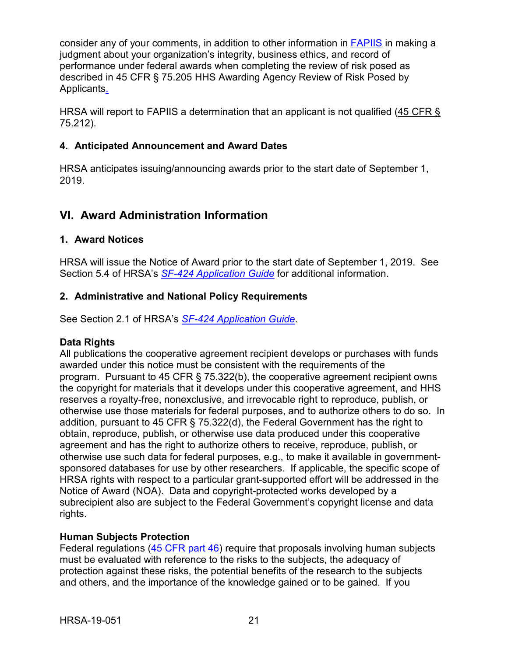consider any of your comments, in addition to other information in [FAPIIS](https://www.fapiis.gov/) in making a judgment about your organization's integrity, business ethics, and record of performance under federal awards when completing the review of risk posed as described in [45 CFR § 75.205 HHS Awarding Agency](https://www.ecfr.gov/cgi-bin/retrieveECFR?gp=1&SID=4d52364ec83fab994c665943dadf9cf7&ty=HTML&h=L&r=PART&n=pt45.1.75) Review of Risk Posed by [Applicants.](https://www.ecfr.gov/cgi-bin/retrieveECFR?gp=1&SID=4d52364ec83fab994c665943dadf9cf7&ty=HTML&h=L&r=PART&n=pt45.1.75)

HRSA will report to FAPIIS a determination that an applicant is not qualified [\(45 CFR §](https://www.ecfr.gov/cgi-bin/retrieveECFR?gp=1&SID=4d52364ec83fab994c665943dadf9cf7&ty=HTML&h=L&r=PART&n=pt45.1.75) [75.212\)](https://www.ecfr.gov/cgi-bin/retrieveECFR?gp=1&SID=4d52364ec83fab994c665943dadf9cf7&ty=HTML&h=L&r=PART&n=pt45.1.75).

## <span id="page-24-0"></span>**4. Anticipated Announcement and Award Dates**

HRSA anticipates issuing/announcing awards prior to the start date of September 1, 2019.

## <span id="page-24-1"></span>**VI. Award Administration Information**

### <span id="page-24-2"></span>**1. Award Notices**

HRSA will issue the Notice of Award prior to the start date of September 1, 2019. See Section 5.4 of HRSA's *SF-424 [Application Guide](http://www.hrsa.gov/grants/apply/applicationguide/sf424guide.pdf)* for additional information.

### <span id="page-24-3"></span>**2. Administrative and National Policy Requirements**

See Section 2.1 of HRSA's *SF-424 [Application Guide](http://www.hrsa.gov/grants/apply/applicationguide/sf424guide.pdf)*.

#### **Data Rights**

All publications the cooperative agreement recipient develops or purchases with funds awarded under this notice must be consistent with the requirements of the program. Pursuant to 45 CFR § 75.322(b), the cooperative agreement recipient owns the copyright for materials that it develops under this cooperative agreement, and HHS reserves a royalty-free, nonexclusive, and irrevocable right to reproduce, publish, or otherwise use those materials for federal purposes, and to authorize others to do so. In addition, pursuant to 45 CFR § 75.322(d), the Federal Government has the right to obtain, reproduce, publish, or otherwise use data produced under this cooperative agreement and has the right to authorize others to receive, reproduce, publish, or otherwise use such data for federal purposes, e.g., to make it available in governmentsponsored databases for use by other researchers. If applicable, the specific scope of HRSA rights with respect to a particular grant-supported effort will be addressed in the Notice of Award (NOA). Data and copyright-protected works developed by a subrecipient also are subject to the Federal Government's copyright license and data rights.

## **Human Subjects Protection**

Federal regulations [\(45 CFR part 46\)](https://www.ecfr.gov/cgi-bin/text-idx?SID=5ec405e535881de66e6f153cdf4cdcf8&mc=true&node=pt45.1.46&rgn=div5) require that proposals involving human subjects must be evaluated with reference to the risks to the subjects, the adequacy of protection against these risks, the potential benefits of the research to the subjects and others, and the importance of the knowledge gained or to be gained. If you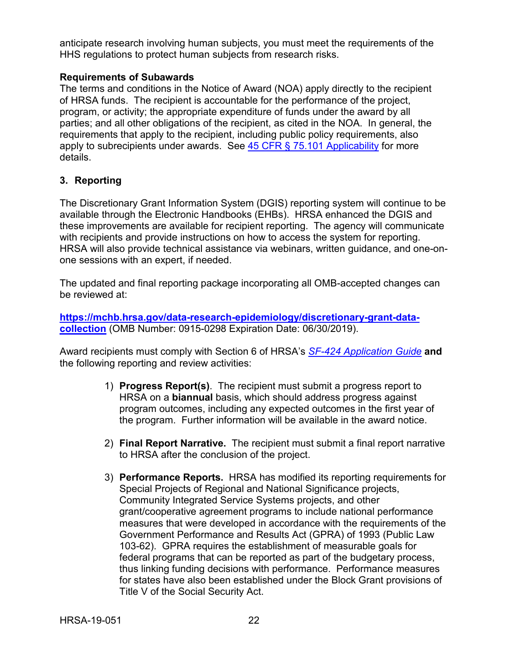anticipate research involving human subjects, you must meet the requirements of the HHS regulations to protect human subjects from research risks.

#### **Requirements of Subawards**

The terms and conditions in the Notice of Award (NOA) apply directly to the recipient of HRSA funds. The recipient is accountable for the performance of the project, program, or activity; the appropriate expenditure of funds under the award by all parties; and all other obligations of the recipient, as cited in the NOA. In general, the requirements that apply to the recipient, including public policy requirements, also apply to subrecipients under awards. See [45 CFR § 75.101 Applicability](https://www.ecfr.gov/cgi-bin/retrieveECFR?gp=1&SID=4d52364ec83fab994c665943dadf9cf7&ty=HTML&h=L&r=PART&n=pt45.1.75) for more details.

### <span id="page-25-0"></span>**3. Reporting**

The Discretionary Grant Information System (DGIS) reporting system will continue to be available through the Electronic Handbooks (EHBs). HRSA enhanced the DGIS and these improvements are available for recipient reporting. The agency will communicate with recipients and provide instructions on how to access the system for reporting. HRSA will also provide technical assistance via webinars, written guidance, and one-onone sessions with an expert, if needed.

The updated and final reporting package incorporating all OMB-accepted changes can be reviewed at:

**[https://mchb.hrsa.gov/data-research-epidemiology/discretionary-grant-data](https://mchb.hrsa.gov/data-research-epidemiology/discretionary-grant-data-collection)[collection](https://mchb.hrsa.gov/data-research-epidemiology/discretionary-grant-data-collection)** (OMB Number: 0915-0298 Expiration Date: 06/30/2019).

Award recipients must comply with Section 6 of HRSA's *SF-424 [Application Guide](http://www.hrsa.gov/grants/apply/applicationguide/sf424guide.pdf)* **and** the following reporting and review activities:

- 1) **Progress Report(s)**. The recipient must submit a progress report to HRSA on a **biannual** basis, which should address progress against program outcomes, including any expected outcomes in the first year of the program. Further information will be available in the award notice.
- 2) **Final Report Narrative.** The recipient must submit a final report narrative to HRSA after the conclusion of the project.
- 3) **Performance Reports.** HRSA has modified its reporting requirements for Special Projects of Regional and National Significance projects, Community Integrated Service Systems projects, and other grant/cooperative agreement programs to include national performance measures that were developed in accordance with the requirements of the Government Performance and Results Act (GPRA) of 1993 (Public Law 103-62). GPRA requires the establishment of measurable goals for federal programs that can be reported as part of the budgetary process, thus linking funding decisions with performance. Performance measures for states have also been established under the Block Grant provisions of Title V of the Social Security Act.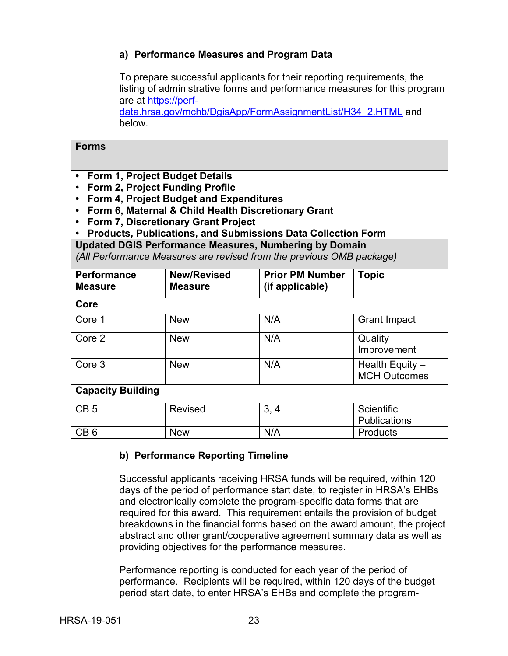#### **a) Performance Measures and Program Data**

To prepare successful applicants for their reporting requirements, the listing of administrative forms and performance measures for this program are at [https://perf-](https://perf-data.hrsa.gov/mchb/DgisApp/FormAssignmentList/H34_2.HTML)

[data.hrsa.gov/mchb/DgisApp/FormAssignmentList/H34\\_2.HTML](https://perf-data.hrsa.gov/mchb/DgisApp/FormAssignmentList/H34_2.HTML) and below.

| <b>Forms</b>                                                                                                                                                                                                                                                                                                                                                                        |                                      |                                           |                                          |  |  |  |
|-------------------------------------------------------------------------------------------------------------------------------------------------------------------------------------------------------------------------------------------------------------------------------------------------------------------------------------------------------------------------------------|--------------------------------------|-------------------------------------------|------------------------------------------|--|--|--|
| Form 1, Project Budget Details<br>$\bullet$<br>Form 2, Project Funding Profile<br>$\bullet$<br>Form 4, Project Budget and Expenditures<br>Form 6, Maternal & Child Health Discretionary Grant<br><b>Form 7, Discretionary Grant Project</b><br><b>Products, Publications, and Submissions Data Collection Form</b><br><b>Updated DGIS Performance Measures, Numbering by Domain</b> |                                      |                                           |                                          |  |  |  |
| (All Performance Measures are revised from the previous OMB package)                                                                                                                                                                                                                                                                                                                |                                      |                                           |                                          |  |  |  |
| <b>Performance</b><br><b>Measure</b>                                                                                                                                                                                                                                                                                                                                                | <b>New/Revised</b><br><b>Measure</b> | <b>Prior PM Number</b><br>(if applicable) | <b>Topic</b>                             |  |  |  |
| Core                                                                                                                                                                                                                                                                                                                                                                                |                                      |                                           |                                          |  |  |  |
| Core 1                                                                                                                                                                                                                                                                                                                                                                              | <b>New</b>                           | N/A                                       | <b>Grant Impact</b>                      |  |  |  |
| Core 2                                                                                                                                                                                                                                                                                                                                                                              | <b>New</b>                           | N/A                                       | Quality<br>Improvement                   |  |  |  |
| Core 3                                                                                                                                                                                                                                                                                                                                                                              | <b>New</b>                           | N/A                                       | Health Equity -<br><b>MCH Outcomes</b>   |  |  |  |
| <b>Capacity Building</b>                                                                                                                                                                                                                                                                                                                                                            |                                      |                                           |                                          |  |  |  |
| CB <sub>5</sub>                                                                                                                                                                                                                                                                                                                                                                     | <b>Revised</b>                       | 3, 4                                      | <b>Scientific</b><br><b>Publications</b> |  |  |  |
| CB <sub>6</sub>                                                                                                                                                                                                                                                                                                                                                                     | <b>New</b>                           | N/A                                       | <b>Products</b>                          |  |  |  |

## **b) Performance Reporting Timeline**

Successful applicants receiving HRSA funds will be required, within 120 days of the period of performance start date, to register in HRSA's EHBs and electronically complete the program-specific data forms that are required for this award.This requirement entails the provision of budget breakdowns in the financial forms based on the award amount, the project abstract and other grant/cooperative agreement summary data as well as providing objectives for the performance measures.

Performance reporting is conducted for each year of the period of performance. Recipients will be required, within 120 days of the budget period start date, to enter HRSA's EHBs and complete the program-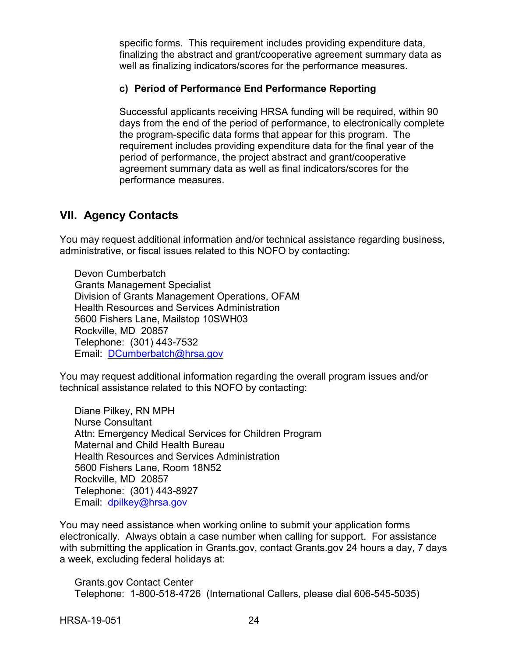specific forms. This requirement includes providing expenditure data, finalizing the abstract and grant/cooperative agreement summary data as well as finalizing indicators/scores for the performance measures.

### **c) Period of Performance End Performance Reporting**

Successful applicants receiving HRSA funding will be required, within 90 days from the end of the period of performance, to electronically complete the program-specific data forms that appear for this program. The requirement includes providing expenditure data for the final year of the period of performance, the project abstract and grant/cooperative agreement summary data as well as final indicators/scores for the performance measures.

## <span id="page-27-0"></span>**VII. Agency Contacts**

You may request additional information and/or technical assistance regarding business, administrative, or fiscal issues related to this NOFO by contacting:

Devon Cumberbatch Grants Management Specialist Division of Grants Management Operations, OFAM Health Resources and Services Administration 5600 Fishers Lane, Mailstop 10SWH03 Rockville, MD 20857 Telephone: (301) 443-7532 Email: [DCumberbatch@hrsa.gov](mailto:DCumberbatch@hrsa.gov)

You may request additional information regarding the overall program issues and/or technical assistance related to this NOFO by contacting:

Diane Pilkey, RN MPH Nurse Consultant Attn: Emergency Medical Services for Children Program Maternal and Child Health Bureau Health Resources and Services Administration 5600 Fishers Lane, Room 18N52 Rockville, MD 20857 Telephone: (301) 443-8927 Email: [dpilkey@hrsa.gov](mailto:dpilkey@hrsa.gov)

You may need assistance when working online to submit your application forms electronically. Always obtain a case number when calling for support. For assistance with submitting the application in Grants.gov, contact Grants.gov 24 hours a day, 7 days a week, excluding federal holidays at:

Grants.gov Contact Center Telephone: 1-800-518-4726 (International Callers, please dial 606-545-5035)